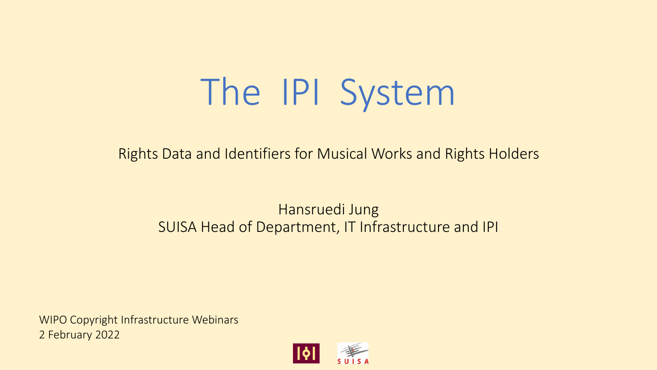# The IPI System

Rights Data and Identifiers for Musical Works and Rights Holders

### Hansruedi Jung SUISA Head of Department, IT Infrastructure and IPI

WIPO Copyright Infrastructure Webinars 2 February 2022

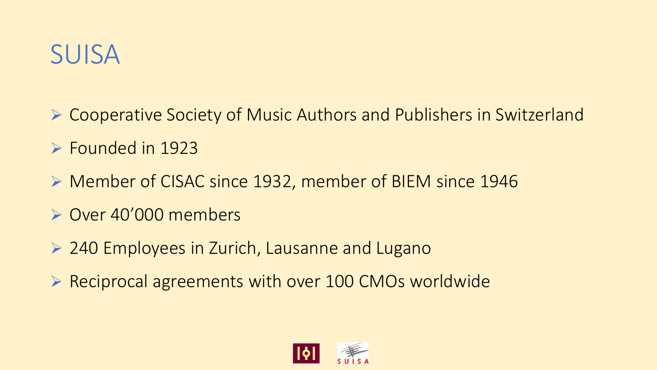

- ➢ Cooperative Society of Music Authors and Publishers in Switzerland
- ➢ Founded in 1923
- ➢ Member of CISAC since 1932, member of BIEM since 1946
- ➢ Over 40'000 members
- ➢ 240 Employees in Zurich, Lausanne and Lugano
- ➢ Reciprocal agreements with over 100 CMOs worldwide

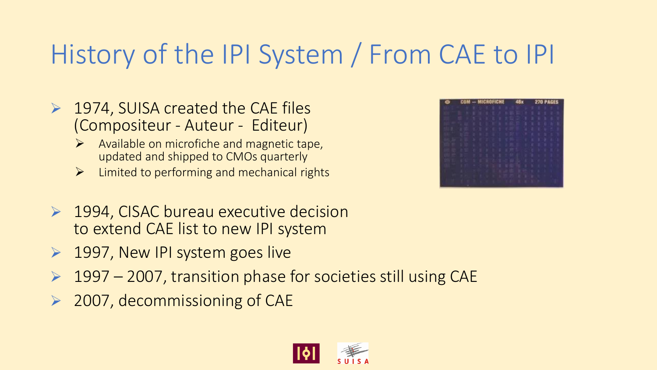## History of the IPI System / From CAE to IPI

- ➢ 1974, SUISA created the CAE files (Compositeur - Auteur - Editeur)
	- ➢ Available on microfiche and magnetic tape, updated and shipped to CMOs quarterly
	- ➢ Limited to performing and mechanical rights
- ➢ 1994, CISAC bureau executive decision to extend CAE list to new IPI system
- ➢ 1997, New IPI system goes live
- ➢ 1997 2007, transition phase for societies still using CAE
- ➢ 2007, decommissioning of CAE



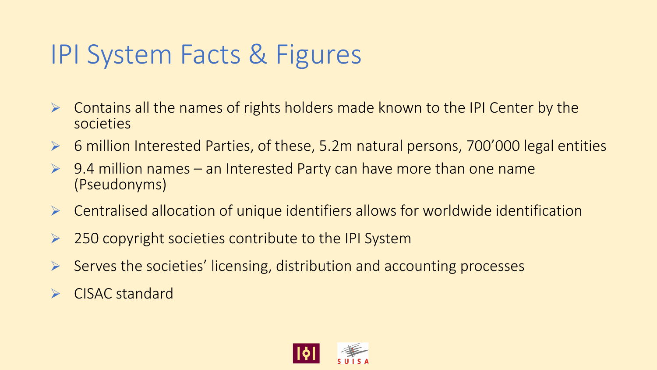### IPI System Facts & Figures

- ➢ Contains all the names of rights holders made known to the IPI Center by the societies
- ➢ 6 million Interested Parties, of these, 5.2m natural persons, 700'000 legal entities
- ➢ 9.4 million names an Interested Party can have more than one name (Pseudonyms)
- ➢ Centralised allocation of unique identifiers allows for worldwide identification
- ➢ 250 copyright societies contribute to the IPI System
- Serves the societies' licensing, distribution and accounting processes
- ➢ CISAC standard

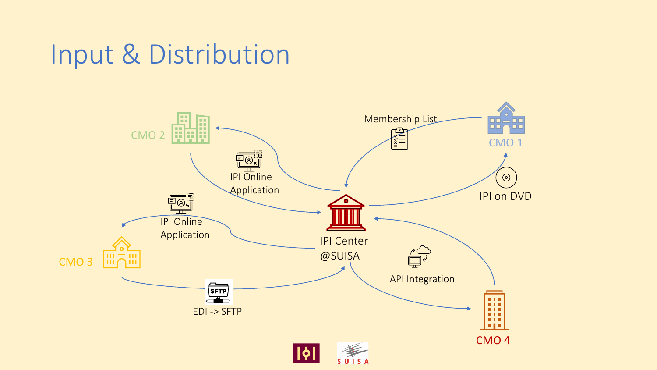### Input & Distribution

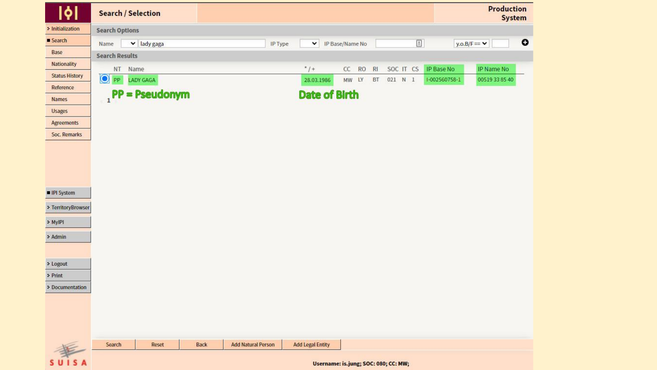| 161                                                | <b>Search / Selection</b> |                                 |  |      |                           |         |                         |  |                                      |           |         |           | <b>Production</b><br><b>System</b> |                  |           |
|----------------------------------------------------|---------------------------|---------------------------------|--|------|---------------------------|---------|-------------------------|--|--------------------------------------|-----------|---------|-----------|------------------------------------|------------------|-----------|
| > Initialization                                   | <b>Search Options</b>     |                                 |  |      |                           |         |                         |  |                                      |           |         |           |                                    |                  |           |
| Search                                             | Name                      | $\blacktriangleright$ lady gaga |  |      |                           | IP Type | $\mathbf{v}$            |  | IP Base/Name No                      |           |         | $\Xi$     |                                    | y.o.B/F $= \vee$ | $\bullet$ |
| Base                                               | <b>Search Results</b>     |                                 |  |      |                           |         |                         |  |                                      |           |         |           |                                    |                  |           |
| Nationality                                        | NT                        | Name                            |  |      |                           |         | $*$ / +                 |  | CC<br><b>RO</b>                      | R1        |         | SOC IT CS | IP Base No                         | IP Name No       |           |
| <b>Status History</b>                              | $\bigcirc$ PP             | LADY GAGA                       |  |      |                           |         | 28.03.1986              |  | MW LY                                | <b>BT</b> | 021 N 1 |           | 1-002560758-1                      | 00519 33 85 40   |           |
| Reference                                          |                           |                                 |  |      |                           |         |                         |  |                                      |           |         |           |                                    |                  |           |
| Names                                              |                           | $P$ PP = Pseudonym              |  |      |                           |         | <b>Date of Birth</b>    |  |                                      |           |         |           |                                    |                  |           |
| Usages                                             |                           |                                 |  |      |                           |         |                         |  |                                      |           |         |           |                                    |                  |           |
| <b>Agreements</b>                                  |                           |                                 |  |      |                           |         |                         |  |                                      |           |         |           |                                    |                  |           |
| Soc. Remarks                                       |                           |                                 |  |      |                           |         |                         |  |                                      |           |         |           |                                    |                  |           |
| <b>IPI</b> System<br>· TerritoryBrowser<br>> MyIPI |                           |                                 |  |      |                           |         |                         |  |                                      |           |         |           |                                    |                  |           |
| > Admin                                            |                           |                                 |  |      |                           |         |                         |  |                                      |           |         |           |                                    |                  |           |
| > Logout                                           |                           |                                 |  |      |                           |         |                         |  |                                      |           |         |           |                                    |                  |           |
| $>$ Print                                          |                           |                                 |  |      |                           |         |                         |  |                                      |           |         |           |                                    |                  |           |
| Documentation                                      |                           |                                 |  |      |                           |         |                         |  |                                      |           |         |           |                                    |                  |           |
|                                                    |                           |                                 |  |      |                           |         |                         |  |                                      |           |         |           |                                    |                  |           |
|                                                    | Search                    | Reset                           |  | Back | <b>Add Natural Person</b> |         | <b>Add Legal Entity</b> |  |                                      |           |         |           |                                    |                  |           |
| $\frac{1}{\sin s}$                                 |                           |                                 |  |      |                           |         |                         |  | Username: is.jung; SOC: 080; CC: MW; |           |         |           |                                    |                  |           |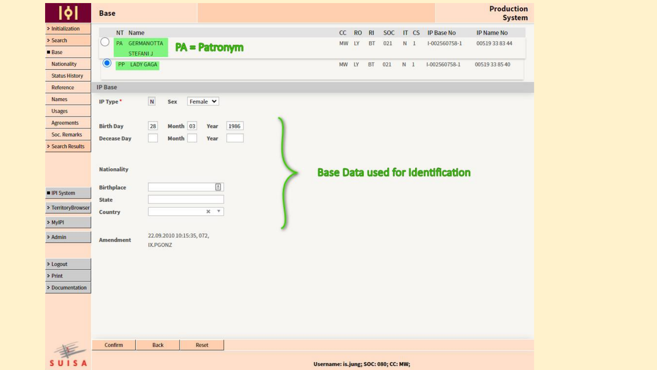| <b>bl</b>                                                                                          | <b>Base</b>                                                                                                                              |                                      |                             |                |                                          | <b>Production</b><br>System |
|----------------------------------------------------------------------------------------------------|------------------------------------------------------------------------------------------------------------------------------------------|--------------------------------------|-----------------------------|----------------|------------------------------------------|-----------------------------|
| · Initialization                                                                                   | NT Name                                                                                                                                  | cc                                   | <b>RO</b><br>R <sub>l</sub> | SOC<br>IT CS   | <b>IP Base No</b>                        | IP Name No                  |
| > Search                                                                                           | <b>GERMANOTTA</b><br>PA<br><b>PA = Patronym</b>                                                                                          | MW                                   | LY<br>BT<br>021             | N <sub>1</sub> | 1-002560758-1                            | 00519 33 83 44              |
| <b>Base</b>                                                                                        | STEFANI J                                                                                                                                |                                      |                             |                |                                          |                             |
| Nationality                                                                                        | $\mathbf{\odot}$<br>PP LADY GAGA                                                                                                         | MW                                   | LY<br>BT<br>021             | N <sub>1</sub> | I-002560758-1                            | 00519338540                 |
| <b>Status History</b>                                                                              |                                                                                                                                          |                                      |                             |                |                                          |                             |
| Reference                                                                                          | <b>IP Base</b>                                                                                                                           |                                      |                             |                |                                          |                             |
| Names                                                                                              | $\overline{\mathbf{N}}$<br>Female v<br>Sex<br>IP Type*                                                                                   |                                      |                             |                |                                          |                             |
| <b>Usages</b>                                                                                      |                                                                                                                                          |                                      |                             |                |                                          |                             |
| Agreements                                                                                         | 28<br>Month 03<br><b>Birth Day</b><br>1986<br>Year                                                                                       |                                      |                             |                |                                          |                             |
| Soc. Remarks                                                                                       | <b>Decease Day</b><br>Month<br>Year                                                                                                      |                                      |                             |                |                                          |                             |
| Search Results                                                                                     |                                                                                                                                          |                                      |                             |                |                                          |                             |
| IPI System<br>- TerritoryBrowser<br>- MylPI<br>- Admin<br>> Logout<br>$>$ Print<br>> Documentation | <b>Nationality</b><br>Ð<br><b>Birthplace</b><br>State<br>$X$ $Y$<br><b>Country</b><br>22.09.2010 10:15:35, 072,<br>Amendment<br>IX.PGONZ |                                      |                             |                | <b>Base Data used for Identification</b> |                             |
|                                                                                                    | Confirm<br><b>Back</b><br>Reset                                                                                                          |                                      |                             |                |                                          |                             |
| <b>SUISA</b>                                                                                       |                                                                                                                                          | Username: is.jung; SOC: 080; CC: MW; |                             |                |                                          |                             |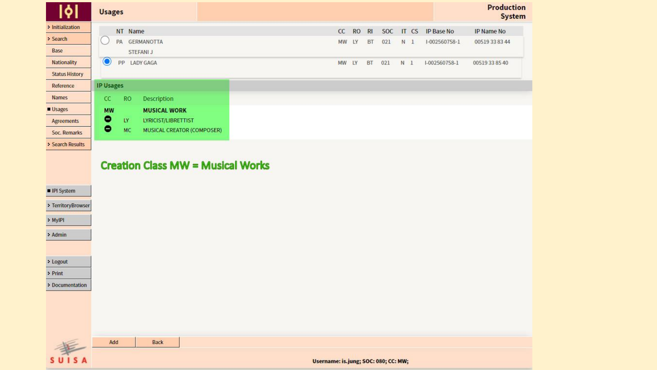|                       | <b>Usages</b>                            |                                      |           |           |     |                |                  | <b>Production</b><br><b>System</b> |
|-----------------------|------------------------------------------|--------------------------------------|-----------|-----------|-----|----------------|------------------|------------------------------------|
| · Initialization      | NT Name                                  | CC                                   | <b>RO</b> | RI        | SOC |                | IT CS IP Base No | IP Name No                         |
| > Search              | <b>GERMANOTTA</b><br>PA                  | MW                                   | LY        | BT        | 021 | N <sub>1</sub> | I-002560758-1    | 00519 33 83 44                     |
| Base                  | STEFANI J                                |                                      |           |           |     |                |                  |                                    |
| Nationality           | O<br><b>PP</b><br>LADY GAGA              | MW LY                                |           | <b>BT</b> | 021 | N <sub>1</sub> | I-002560758-1    | 00519338540                        |
| <b>Status History</b> |                                          |                                      |           |           |     |                |                  |                                    |
| Reference             | <b>IP Usages</b>                         |                                      |           |           |     |                |                  |                                    |
| <b>Names</b>          | CC<br><b>RO</b><br>Description           |                                      |           |           |     |                |                  |                                    |
| Usages                | <b>MW</b><br><b>MUSICAL WORK</b>         |                                      |           |           |     |                |                  |                                    |
| <b>Agreements</b>     | $\bullet$<br>LY.<br>LYRICIST/LIBRETTIST  |                                      |           |           |     |                |                  |                                    |
| Soc. Remarks          | ۰<br>MC<br>MUSICAL CREATOR (COMPOSER)    |                                      |           |           |     |                |                  |                                    |
| Search Results        |                                          |                                      |           |           |     |                |                  |                                    |
| IPI System            | <b>Creation Class MW = Musical Works</b> |                                      |           |           |     |                |                  |                                    |
|                       |                                          |                                      |           |           |     |                |                  |                                    |
| TerritoryBrowser      |                                          |                                      |           |           |     |                |                  |                                    |
| > MyIPI               |                                          |                                      |           |           |     |                |                  |                                    |
| - Admin               |                                          |                                      |           |           |     |                |                  |                                    |
|                       |                                          |                                      |           |           |     |                |                  |                                    |
| > Logout              |                                          |                                      |           |           |     |                |                  |                                    |
| > Print               |                                          |                                      |           |           |     |                |                  |                                    |
| · Documentation       |                                          |                                      |           |           |     |                |                  |                                    |
|                       |                                          |                                      |           |           |     |                |                  |                                    |
|                       |                                          |                                      |           |           |     |                |                  |                                    |
|                       |                                          |                                      |           |           |     |                |                  |                                    |
|                       |                                          |                                      |           |           |     |                |                  |                                    |
|                       | Add<br>Back                              |                                      |           |           |     |                |                  |                                    |
| $\frac{1}{\sin 5x}$   |                                          | Username: is.jung; SOC: 080; CC: MW; |           |           |     |                |                  |                                    |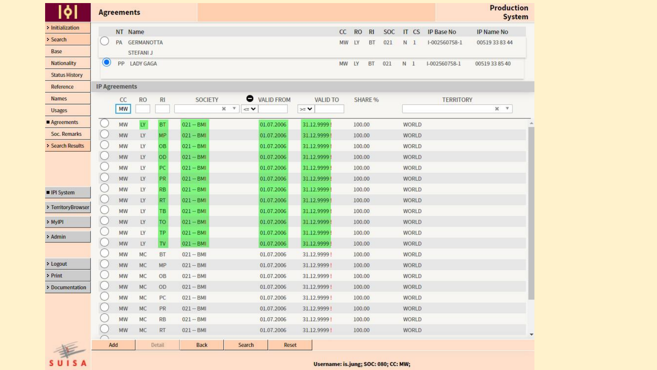|                       |     | <b>Agreements</b>    |                   |           |             |                                |                 |    |        |           |            |                |                  | <b>Production</b><br><b>System</b> |
|-----------------------|-----|----------------------|-------------------|-----------|-------------|--------------------------------|-----------------|----|--------|-----------|------------|----------------|------------------|------------------------------------|
| <b>Initialization</b> |     | NT Name              |                   |           |             |                                |                 | cc | RO.    | R1        | <b>SOC</b> | IT CS          | IP Base No       | IP Name No                         |
| > Search              |     | PA                   | <b>GERMANOTTA</b> |           |             |                                |                 | MW | LY     | BT        | 021        | N <sub>1</sub> | I-002560758-1    | 00519 33 83 44                     |
| Base                  |     |                      | <b>STEFANI J</b>  |           |             |                                |                 |    |        |           |            |                |                  |                                    |
| <b>Nationality</b>    | O   | <b>PP</b>            | LADY GAGA         |           |             |                                |                 | MW | LY     | <b>BT</b> | 021        | N <sub>1</sub> | I-002560758-1    | 00519338540                        |
| <b>Status History</b> |     |                      |                   |           |             |                                |                 |    |        |           |            |                |                  |                                    |
| Reference             |     | <b>IP Agreements</b> |                   |           |             |                                |                 |    |        |           |            |                |                  |                                    |
| <b>Names</b>          |     | CC                   | <b>RO</b>         | RI.       | SOCIETY     | $\bullet$<br><b>VALID FROM</b> | <b>VALID TO</b> |    |        | SHARE %   |            |                | <b>TERRITORY</b> |                                    |
| <b>Usages</b>         |     | <b>MW</b>            |                   |           |             | $\mathbf{v}$<br>×<br>$\leq$ V  | $\geq$ $\vee$   |    |        |           |            |                |                  | $x - r$                            |
| Agreements            |     | MW                   | LY                | <b>BT</b> | $021 - BMI$ | 01.07.2006                     | 31.12.9999      |    | 100.00 |           |            | WORLD          |                  |                                    |
| Soc. Remarks          |     | MW                   | LY                | MP        | $021 - BMI$ | 01.07.2006                     | 31.12.9999      |    | 100.00 |           |            | WORLD          |                  |                                    |
| Search Results        |     | MW                   | <b>LY</b>         | <b>OB</b> | $021 - BM1$ | 01.07.2006                     | 31.12.9999      |    | 100.00 |           |            | WORLD          |                  |                                    |
|                       |     | MW                   | LY                | OD        | $021 - BMI$ | 01.07.2006                     | 31.12.9999      |    | 100.00 |           |            | WORLD          |                  |                                    |
|                       |     | MW                   | LY                | PC.       | $021 - BMI$ | 01.07.2006                     | 31.12.9999      |    | 100.00 |           |            | WORLD          |                  |                                    |
|                       |     | MW                   | LY                | <b>PR</b> | $021 - BMI$ | 01.07.2006                     | 31.12.9999      |    | 100.00 |           |            | WORLD          |                  |                                    |
| IPI System            |     | MW                   | LY                | <b>RB</b> | $021 - BM1$ | 01.07.2006                     | 31.12.9999      |    | 100.00 |           |            | WORLD          |                  |                                    |
|                       |     | MW                   | LY                | <b>RT</b> | $021 - BMI$ | 01.07.2006                     | 31.12.9999      |    | 100.00 |           |            | WORLD          |                  |                                    |
| - TerritoryBrowser    |     | MW                   | LY                | TВ        | $021 - BMI$ | 01.07.2006                     | 31.12.9999      |    | 100.00 |           |            | WORLD          |                  |                                    |
| - MylPl               |     | MW                   | LY                | TO        | $021 - BMI$ | 01.07.2006                     | 31.12.9999      |    | 100.00 |           |            | WORLD          |                  |                                    |
| - Admin               |     | MW                   | LY                | <b>TP</b> | $021 - BMI$ | 01.07.2006                     | 31.12.9999      |    | 100.00 |           |            | WORLD          |                  |                                    |
|                       |     | MW                   | LY                | TV        | $021 - BMI$ | 01.07.2006                     | 31.12.9999      |    | 100.00 |           |            | WORLD          |                  |                                    |
|                       |     | MW                   | MC                | <b>BT</b> | $021 - BMI$ | 01.07.2006                     | 31.12.9999!     |    | 100.00 |           |            | WORLD          |                  |                                    |
| > Logout              |     | MW                   | MC                | MP        | $021 - BMI$ | 01.07.2006                     | 31.12.9999!     |    | 100.00 |           |            | WORLD          |                  |                                    |
| > Print               |     | MW                   | MC                | OB        | $021 - BMI$ | 01.07.2006                     | 31.12.9999!     |    | 100.00 |           |            | WORLD          |                  |                                    |
| Documentation         |     | MW                   | MC                | OD.       | $021 - BMI$ | 01.07.2006                     | 31.12.9999 !    |    | 100.00 |           |            | WORLD          |                  |                                    |
|                       |     | MW                   | <b>MC</b>         | PC.       | $021 - BMI$ | 01.07.2006                     | 31.12.9999!     |    | 100.00 |           |            | WORLD          |                  |                                    |
|                       |     | MW                   | MC                | <b>PR</b> | $021 - BMI$ | 01.07.2006                     | 31.12.9999!     |    | 100.00 |           |            | WORLD          |                  |                                    |
|                       |     | MW                   | <b>MC</b>         | <b>RB</b> | $021 - BMI$ | 01.07.2006                     | 31.12.9999!     |    | 100.00 |           |            | WORLD          |                  |                                    |
|                       |     | MW                   | MC                | <b>RT</b> | $021 - BMI$ | 01.07.2006                     | 31.12.9999      |    | 100.00 |           |            | WORLD          |                  |                                    |
| #                     | Add |                      |                   | Detail    | <b>Back</b> | Search                         | Reset           |    |        |           |            |                |                  |                                    |

SUISA

Username: is.jung; SOC: 080; CC: MW;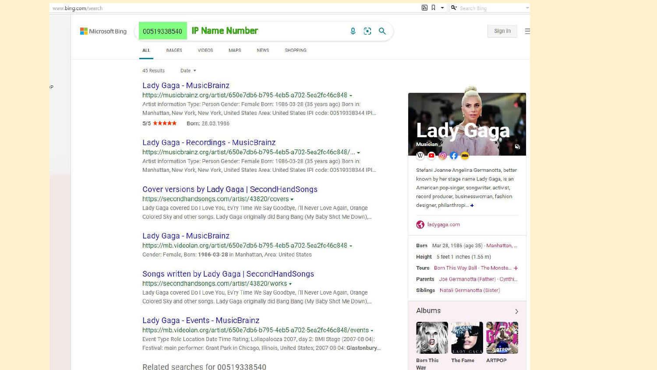(P)

Microsoft Bing

Ξ Sign in

**IP Name Number** 00519338540

8  $\overline{\mathsf{Q}}$  $\alpha$ 

**IMAGES** VIDEOS **MAPS NEWS SHOPPING** 

**45 Results** Date -

**ALL** 

#### Lady Gaga - MusicBrainz

#### https://musicbrainz.org/artist/650e7db6-b795-4eb5-a702-5ea2fc46c848 -

Artist information Type: Person Gender: Female Born: 1986-03-28 (35 years ago) Born in: Manhattan, New York, New York, United States Area: United States IPI code: 00519338344 IPI...

5/5 ★★★★★ Born: 28.03.1986

#### Lady Gaga - Recordings - MusicBrainz

https://musicbrainz.org/artist/650e7db6-b795-4eb5-a702-5ea2fc46c848/... -Artist information Type: Person Gender: Female Born: 1986-03-28 (35 years ago) Born in: Manhattan, New York, New York, United States Area: United States IPI code: 00519338344 IPI...

#### Cover versions by Lady Gaga | SecondHandSongs https://secondhandsongs.com/artist/43820/covers -

Lady Gaga covered Do I Love You, Ev'ry Time We Say Goodbye, I'll Never Love Again, Orange Colored Sky and other songs. Lady Gaga originally did Bang Bang (My Baby Shot Me Down),...

#### Lady Gaga - MusicBrainz

https://mb.videolan.org/artist/650e7db6-b795-4eb5-a702-5ea2fc46c848 -Gender: Female, Born: 1986-03-28 in Manhattan, Area: United States

#### Songs written by Lady Gaga | SecondHandSongs https://secondhandsongs.com/artist/43820/works -

Lady Gaga covered Do I Love You, Ev'ry Time We Say Goodbye, I'll Never Love Again, Orange Colored Sky and other songs. Lady Gaga originally did Bang Bang (My Baby Shot Me Down),...

#### Lady Gaga - Events - MusicBrainz

https://mb.videolan.org/artist/650e7db6-b795-4eb5-a702-5ea2fc46c848/events -

Event Type Role Location Date Time Rating; Lollapalooza 2007, day 2: BMI Stage (2007-08-04): Festival: main performer: Grant Park in Chicago, Illinois, United States; 2007-08-04: Glastonbury...

#### Related searches for 00519338540



Stefani Joanne Angelina Germanotta, better known by her stage name Lady Gaga, is an American pop-singer, songwriter, activist, record producer, businesswoman, fashion designer, philanthropi... +

#### adygaga.com

Born Mar 28, 1986 (age 35) · Manhattan, ... Height 5 feet 1 inches (1.55 m) Tours Born This Way Ball · The Monste... + Parents Joe Germanotta (Father) · Cynthi... Siblings Natali Germanotta (Sister)

#### Albums

Way



**Born This** The Fame **ARTPOP**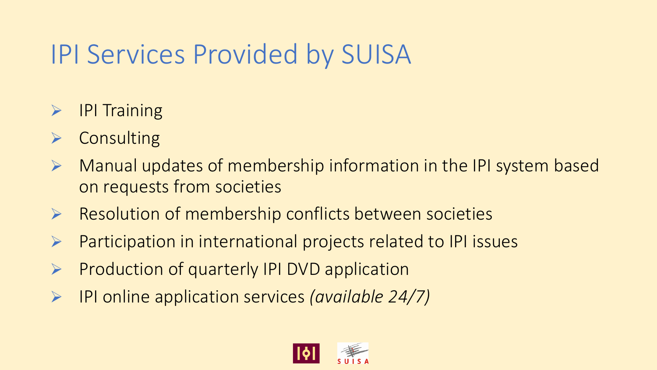### IPI Services Provided by SUISA

- ➢ IPI Training
- **Consulting**
- ➢ Manual updates of membership information in the IPI system based on requests from societies
- ➢ Resolution of membership conflicts between societies
- ➢ Participation in international projects related to IPI issues
- ➢ Production of quarterly IPI DVD application
- ➢ IPI online application services *(available 24/7)*